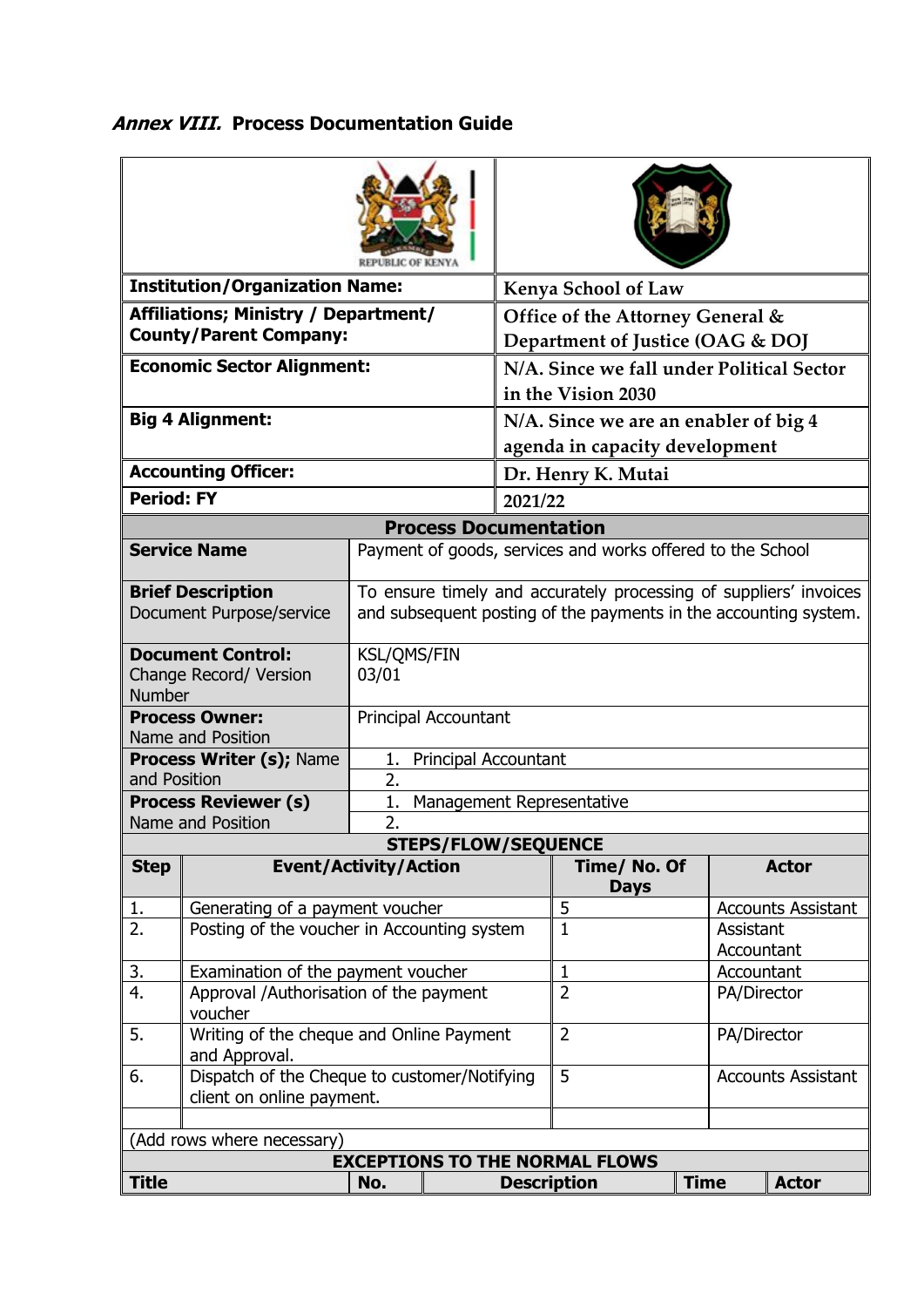## **Annex VIII. Process Documentation Guide**

| <b>Institution/Organization Name:</b>                                             |                                                           |                                                                                                                                       |         | <b>Kenya School of Law</b>                                      |                |                                |                           |  |
|-----------------------------------------------------------------------------------|-----------------------------------------------------------|---------------------------------------------------------------------------------------------------------------------------------------|---------|-----------------------------------------------------------------|----------------|--------------------------------|---------------------------|--|
| Affiliations; Ministry / Department/                                              |                                                           |                                                                                                                                       |         | Office of the Attorney General &                                |                |                                |                           |  |
| <b>County/Parent Company:</b>                                                     |                                                           |                                                                                                                                       |         | Department of Justice (OAG & DOJ                                |                |                                |                           |  |
| <b>Economic Sector Alignment:</b>                                                 |                                                           |                                                                                                                                       |         | N/A. Since we fall under Political Sector<br>in the Vision 2030 |                |                                |                           |  |
| <b>Big 4 Alignment:</b>                                                           |                                                           |                                                                                                                                       |         | N/A. Since we are an enabler of big 4                           |                |                                |                           |  |
|                                                                                   |                                                           |                                                                                                                                       |         |                                                                 |                | agenda in capacity development |                           |  |
|                                                                                   | <b>Accounting Officer:</b>                                |                                                                                                                                       |         | Dr. Henry K. Mutai                                              |                |                                |                           |  |
| <b>Period: FY</b>                                                                 |                                                           |                                                                                                                                       | 2021/22 |                                                                 |                |                                |                           |  |
| <b>Process Documentation</b>                                                      |                                                           |                                                                                                                                       |         |                                                                 |                |                                |                           |  |
| <b>Service Name</b><br>Payment of goods, services and works offered to the School |                                                           |                                                                                                                                       |         |                                                                 |                |                                |                           |  |
|                                                                                   |                                                           |                                                                                                                                       |         |                                                                 |                |                                |                           |  |
|                                                                                   | <b>Brief Description</b><br>Document Purpose/service      | To ensure timely and accurately processing of suppliers' invoices<br>and subsequent posting of the payments in the accounting system. |         |                                                                 |                |                                |                           |  |
| <b>Document Control:</b><br>Change Record/ Version<br><b>Number</b>               |                                                           | <b>KSL/QMS/FIN</b><br>03/01                                                                                                           |         |                                                                 |                |                                |                           |  |
|                                                                                   | <b>Process Owner:</b><br>Name and Position                | Principal Accountant                                                                                                                  |         |                                                                 |                |                                |                           |  |
|                                                                                   | Process Writer (s); Name                                  | 1. Principal Accountant                                                                                                               |         |                                                                 |                |                                |                           |  |
| and Position                                                                      |                                                           | $\overline{2}$ .                                                                                                                      |         |                                                                 |                |                                |                           |  |
|                                                                                   | <b>Process Reviewer (s)</b>                               | 1.<br>Management Representative                                                                                                       |         |                                                                 |                |                                |                           |  |
| 2.<br>Name and Position<br><b>STEPS/FLOW/SEQUENCE</b>                             |                                                           |                                                                                                                                       |         |                                                                 |                |                                |                           |  |
| <b>Step</b><br><b>Event/Activity/Action</b><br>Time/ No. Of<br><b>Actor</b>       |                                                           |                                                                                                                                       |         |                                                                 |                |                                |                           |  |
|                                                                                   |                                                           |                                                                                                                                       |         |                                                                 | <b>Days</b>    |                                |                           |  |
| 1.                                                                                | Generating of a payment voucher                           |                                                                                                                                       |         |                                                                 | 5              |                                | <b>Accounts Assistant</b> |  |
| 2.                                                                                | Posting of the voucher in Accounting system               |                                                                                                                                       |         |                                                                 | $\mathbf{1}$   | Assistant                      |                           |  |
|                                                                                   |                                                           |                                                                                                                                       |         |                                                                 |                |                                | Accountant                |  |
| 3.                                                                                | Examination of the payment voucher                        |                                                                                                                                       |         |                                                                 | $\mathbf{1}$   |                                | Accountant                |  |
| 4.                                                                                | Approval /Authorisation of the payment<br>voucher         |                                                                                                                                       |         |                                                                 | $\overline{2}$ |                                | PA/Director               |  |
| 5.                                                                                | Writing of the cheque and Online Payment<br>and Approval. |                                                                                                                                       |         |                                                                 | $\overline{2}$ |                                | PA/Director               |  |
| 6.<br>Dispatch of the Cheque to customer/Notifying                                |                                                           |                                                                                                                                       |         |                                                                 | 5              |                                | <b>Accounts Assistant</b> |  |
| client on online payment.                                                         |                                                           |                                                                                                                                       |         |                                                                 |                |                                |                           |  |
|                                                                                   |                                                           |                                                                                                                                       |         |                                                                 |                |                                |                           |  |
| (Add rows where necessary)<br><b>EXCEPTIONS TO THE NORMAL FLOWS</b>               |                                                           |                                                                                                                                       |         |                                                                 |                |                                |                           |  |
| <b>Title</b>                                                                      |                                                           |                                                                                                                                       |         |                                                                 |                |                                |                           |  |
|                                                                                   |                                                           | No.                                                                                                                                   |         | <b>Description</b>                                              | <b>Time</b>    | <b>Actor</b>                   |                           |  |